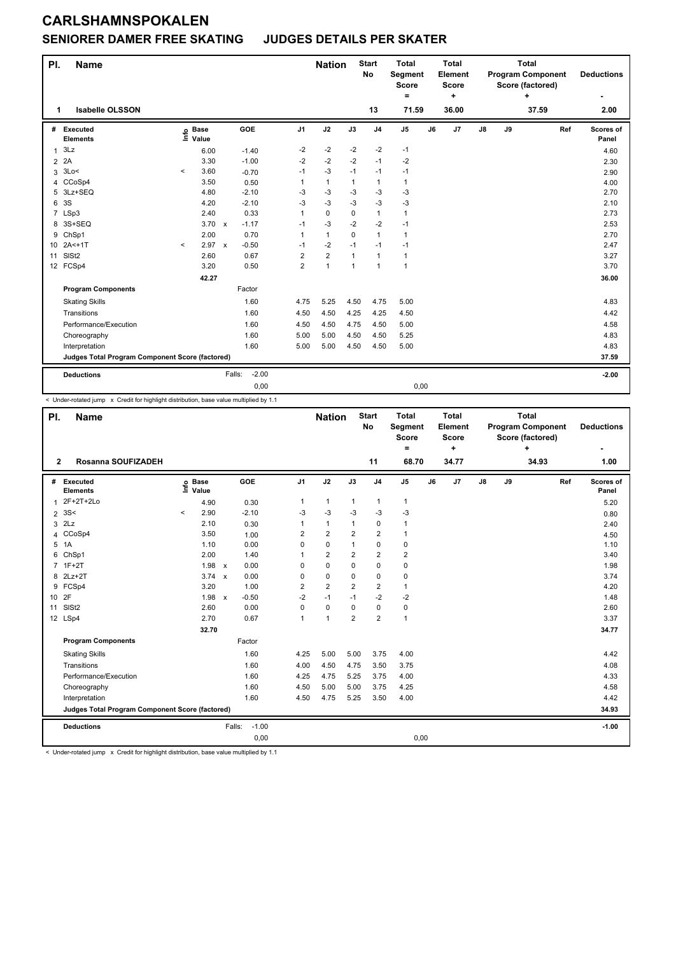#### **SENIORER DAMER FREE SKATING JUDGES DETAILS PER SKATER**

| PI.            | <b>Name</b>                                     |           |                      |              |         |                | <b>Nation</b>  |              | <b>Start</b><br><b>No</b> | <b>Total</b><br>Segment<br><b>Score</b><br>Ξ. |    | <b>Total</b><br>Element<br>Score<br>٠ |               |    | <b>Total</b><br><b>Program Component</b><br>Score (factored)<br>÷ |     | <b>Deductions</b>  |
|----------------|-------------------------------------------------|-----------|----------------------|--------------|---------|----------------|----------------|--------------|---------------------------|-----------------------------------------------|----|---------------------------------------|---------------|----|-------------------------------------------------------------------|-----|--------------------|
| 1              | <b>Isabelle OLSSON</b>                          |           |                      |              |         |                |                |              | 13                        | 71.59                                         |    | 36.00                                 |               |    | 37.59                                                             |     | 2.00               |
| #              | Executed<br><b>Elements</b>                     | e         | <b>Base</b><br>Value |              | GOE     | J <sub>1</sub> | J2             | J3           | J <sub>4</sub>            | J <sub>5</sub>                                | J6 | J7                                    | $\mathsf{J}8$ | J9 |                                                                   | Ref | Scores of<br>Panel |
| 1              | 3Lz                                             |           | 6.00                 |              | $-1.40$ | $-2$           | $-2$           | $-2$         | $-2$                      | $-1$                                          |    |                                       |               |    |                                                                   |     | 4.60               |
| $\overline{2}$ | 2A                                              |           | 3.30                 |              | $-1.00$ | $-2$           | $-2$           | $-2$         | $-1$                      | $-2$                                          |    |                                       |               |    |                                                                   |     | 2.30               |
| 3              | 3Lo<                                            | $\hat{}$  | 3.60                 |              | $-0.70$ | $-1$           | $-3$           | $-1$         | $-1$                      | $-1$                                          |    |                                       |               |    |                                                                   |     | 2.90               |
| 4              | CCoSp4                                          |           | 3.50                 |              | 0.50    | 1              | $\mathbf{1}$   | $\mathbf{1}$ | $\mathbf{1}$              | $\mathbf{1}$                                  |    |                                       |               |    |                                                                   |     | 4.00               |
| 5              | 3Lz+SEQ                                         |           | 4.80                 |              | $-2.10$ | $-3$           | $-3$           | $-3$         | $-3$                      | $-3$                                          |    |                                       |               |    |                                                                   |     | 2.70               |
| 6              | 3S                                              |           | 4.20                 |              | $-2.10$ | $-3$           | $-3$           | $-3$         | $-3$                      | $-3$                                          |    |                                       |               |    |                                                                   |     | 2.10               |
|                | 7 LSp3                                          |           | 2.40                 |              | 0.33    | 1              | $\mathbf 0$    | $\mathbf 0$  | $\mathbf{1}$              | $\mathbf{1}$                                  |    |                                       |               |    |                                                                   |     | 2.73               |
| 8              | 3S+SEQ                                          |           | 3.70                 | $\mathsf{x}$ | $-1.17$ | $-1$           | $-3$           | $-2$         | $-2$                      | $-1$                                          |    |                                       |               |    |                                                                   |     | 2.53               |
| 9              | ChSp1                                           |           | 2.00                 |              | 0.70    | 1              | $\mathbf{1}$   | $\Omega$     | $\mathbf{1}$              | $\mathbf{1}$                                  |    |                                       |               |    |                                                                   |     | 2.70               |
| 10             | $2A<+1T$                                        | $\hat{~}$ | 2.97                 | $\mathsf{x}$ | $-0.50$ | $-1$           | $-2$           | $-1$         | $-1$                      | $-1$                                          |    |                                       |               |    |                                                                   |     | 2.47               |
| 11             | SISt <sub>2</sub>                               |           | 2.60                 |              | 0.67    | $\overline{2}$ | $\overline{2}$ | $\mathbf{1}$ | $\mathbf{1}$              | $\mathbf{1}$                                  |    |                                       |               |    |                                                                   |     | 3.27               |
|                | 12 FCSp4                                        |           | 3.20                 |              | 0.50    | $\overline{2}$ | $\overline{1}$ | $\mathbf{1}$ | $\mathbf{1}$              | $\mathbf{1}$                                  |    |                                       |               |    |                                                                   |     | 3.70               |
|                |                                                 |           | 42.27                |              |         |                |                |              |                           |                                               |    |                                       |               |    |                                                                   |     | 36.00              |
|                | <b>Program Components</b>                       |           |                      |              | Factor  |                |                |              |                           |                                               |    |                                       |               |    |                                                                   |     |                    |
|                | <b>Skating Skills</b>                           |           |                      |              | 1.60    | 4.75           | 5.25           | 4.50         | 4.75                      | 5.00                                          |    |                                       |               |    |                                                                   |     | 4.83               |
|                | Transitions                                     |           |                      |              | 1.60    | 4.50           | 4.50           | 4.25         | 4.25                      | 4.50                                          |    |                                       |               |    |                                                                   |     | 4.42               |
|                | Performance/Execution                           |           |                      |              | 1.60    | 4.50           | 4.50           | 4.75         | 4.50                      | 5.00                                          |    |                                       |               |    |                                                                   |     | 4.58               |
|                | Choreography                                    |           |                      |              | 1.60    | 5.00           | 5.00           | 4.50         | 4.50                      | 5.25                                          |    |                                       |               |    |                                                                   |     | 4.83               |
|                | Interpretation                                  |           |                      |              | 1.60    | 5.00           | 5.00           | 4.50         | 4.50                      | 5.00                                          |    |                                       |               |    |                                                                   |     | 4.83               |
|                | Judges Total Program Component Score (factored) |           |                      |              |         |                |                |              |                           |                                               |    |                                       |               |    |                                                                   |     | 37.59              |
|                | <b>Deductions</b>                               |           |                      | Falls:       | $-2.00$ |                |                |              |                           |                                               |    |                                       |               |    |                                                                   |     | $-2.00$            |
|                |                                                 |           |                      |              | 0,00    |                |                |              |                           | 0,00                                          |    |                                       |               |    |                                                                   |     |                    |

< Under-rotated jump x Credit for highlight distribution, base value multiplied by 1.1

| PI.            | <b>Name</b>                                     |         |                      |                           |            |                | <b>Nation</b>  |                | <b>Start</b><br><b>No</b> | <b>Total</b><br>Segment<br><b>Score</b><br>$\equiv$ |    | <b>Total</b><br>Element<br><b>Score</b><br>$\ddot{}$ |               | <b>Program Component</b><br>Score (factored) | <b>Deductions</b> |     |                    |
|----------------|-------------------------------------------------|---------|----------------------|---------------------------|------------|----------------|----------------|----------------|---------------------------|-----------------------------------------------------|----|------------------------------------------------------|---------------|----------------------------------------------|-------------------|-----|--------------------|
| $\overline{2}$ | Rosanna SOUFIZADEH                              |         |                      |                           |            |                |                |                | 11                        | 68.70                                               |    | 34.77                                                |               |                                              | ÷<br>34.93        |     | 1.00               |
|                | # Executed<br><b>Elements</b>                   | ١m      | <b>Base</b><br>Value |                           | <b>GOE</b> | J <sub>1</sub> | J2             | J3             | J <sub>4</sub>            | $\mathsf{J}5$                                       | J6 | J7                                                   | $\mathsf{J}8$ | J9                                           |                   | Ref | Scores of<br>Panel |
| $\mathbf{1}$   | 2F+2T+2Lo                                       |         | 4.90                 |                           | 0.30       | 1              | $\mathbf{1}$   | $\mathbf{1}$   | $\mathbf{1}$              | $\mathbf{1}$                                        |    |                                                      |               |                                              |                   |     | 5.20               |
| $\overline{2}$ | 3S<                                             | $\prec$ | 2.90                 |                           | $-2.10$    | $-3$           | $-3$           | $-3$           | $-3$                      | $-3$                                                |    |                                                      |               |                                              |                   |     | 0.80               |
| 3              | 2Lz                                             |         | 2.10                 |                           | 0.30       | 1              | $\mathbf{1}$   | $\mathbf{1}$   | $\mathbf 0$               | 1                                                   |    |                                                      |               |                                              |                   |     | 2.40               |
| 4              | CCoSp4                                          |         | 3.50                 |                           | 1.00       | 2              | $\overline{2}$ | 2              | $\overline{2}$            | 1                                                   |    |                                                      |               |                                              |                   |     | 4.50               |
|                | 5 1A                                            |         | 1.10                 |                           | 0.00       | 0              | 0              | $\mathbf{1}$   | $\mathbf 0$               | 0                                                   |    |                                                      |               |                                              |                   |     | 1.10               |
| 6              | ChSp1                                           |         | 2.00                 |                           | 1.40       | 1              | $\overline{2}$ | $\overline{2}$ | $\overline{2}$            | $\overline{2}$                                      |    |                                                      |               |                                              |                   |     | 3.40               |
|                | 7 1F+2T                                         |         | 1.98                 | $\pmb{\chi}$              | 0.00       | $\Omega$       | 0              | 0              | $\mathbf 0$               | 0                                                   |    |                                                      |               |                                              |                   |     | 1.98               |
| 8              | $2Lz+2T$                                        |         | 3.74 x               |                           | 0.00       | $\mathbf 0$    | 0              | 0              | $\mathbf 0$               | 0                                                   |    |                                                      |               |                                              |                   |     | 3.74               |
| 9              | FCSp4                                           |         | 3.20                 |                           | 1.00       | $\overline{2}$ | $\overline{2}$ | $\overline{2}$ | $\overline{2}$            | 1                                                   |    |                                                      |               |                                              |                   |     | 4.20               |
| 10 2F          |                                                 |         | 1.98                 | $\boldsymbol{\mathsf{x}}$ | $-0.50$    | $-2$           | $-1$           | $-1$           | $-2$                      | $-2$                                                |    |                                                      |               |                                              |                   |     | 1.48               |
| 11             | SIS <sub>t2</sub>                               |         | 2.60                 |                           | 0.00       | $\mathbf 0$    | $\mathbf 0$    | $\Omega$       | $\mathbf 0$               | 0                                                   |    |                                                      |               |                                              |                   |     | 2.60               |
|                | 12 LSp4                                         |         | 2.70                 |                           | 0.67       | $\mathbf{1}$   | $\overline{1}$ | $\overline{2}$ | $\overline{2}$            | $\mathbf{1}$                                        |    |                                                      |               |                                              |                   |     | 3.37               |
|                |                                                 |         | 32.70                |                           |            |                |                |                |                           |                                                     |    |                                                      |               |                                              |                   |     | 34.77              |
|                | <b>Program Components</b>                       |         |                      |                           | Factor     |                |                |                |                           |                                                     |    |                                                      |               |                                              |                   |     |                    |
|                | <b>Skating Skills</b>                           |         |                      |                           | 1.60       | 4.25           | 5.00           | 5.00           | 3.75                      | 4.00                                                |    |                                                      |               |                                              |                   |     | 4.42               |
|                | Transitions                                     |         |                      |                           | 1.60       | 4.00           | 4.50           | 4.75           | 3.50                      | 3.75                                                |    |                                                      |               |                                              |                   |     | 4.08               |
|                | Performance/Execution                           |         |                      |                           | 1.60       | 4.25           | 4.75           | 5.25           | 3.75                      | 4.00                                                |    |                                                      |               |                                              |                   |     | 4.33               |
|                | Choreography                                    |         |                      |                           | 1.60       | 4.50           | 5.00           | 5.00           | 3.75                      | 4.25                                                |    |                                                      |               |                                              |                   |     | 4.58               |
|                | Interpretation                                  |         |                      |                           | 1.60       | 4.50           | 4.75           | 5.25           | 3.50                      | 4.00                                                |    |                                                      |               |                                              |                   |     | 4.42               |
|                | Judges Total Program Component Score (factored) |         |                      |                           |            |                |                |                |                           |                                                     |    |                                                      |               |                                              |                   |     | 34.93              |
|                | <b>Deductions</b>                               |         |                      | Falls:                    | $-1.00$    |                |                |                |                           |                                                     |    |                                                      |               |                                              |                   |     | $-1.00$            |
|                |                                                 |         |                      |                           | 0,00       |                |                |                |                           | 0,00                                                |    |                                                      |               |                                              |                   |     |                    |

< Under-rotated jump x Credit for highlight distribution, base value multiplied by 1.1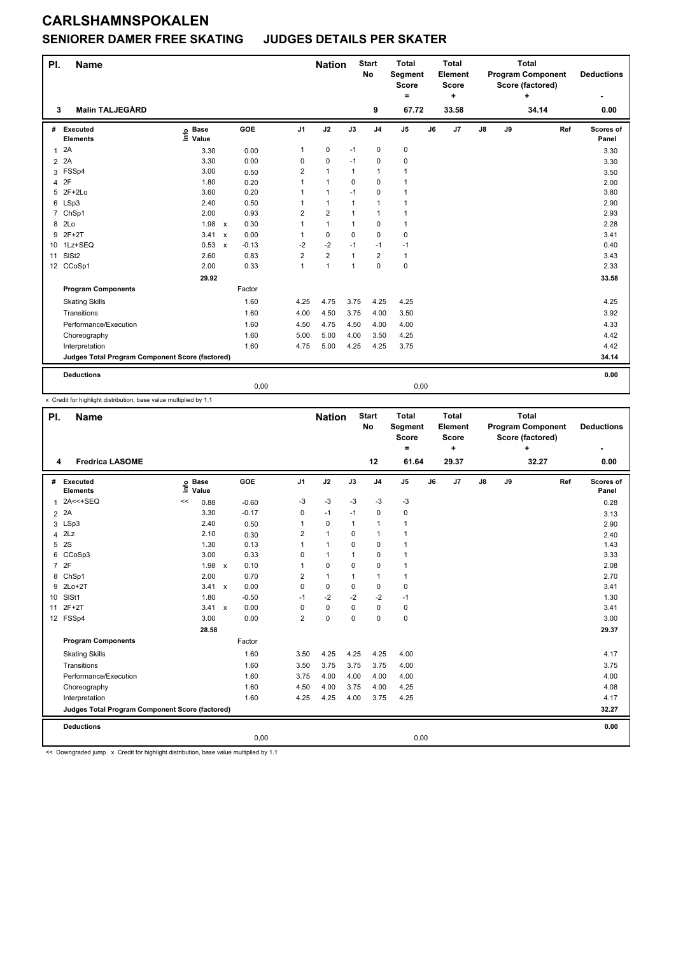### **SENIORER DAMER FREE SKATING JUDGES DETAILS PER SKATER**

| PI.             | <b>Name</b>                                     |                              |                                   |                | <b>Nation</b>  |              | <b>Start</b><br><b>No</b> | <b>Total</b><br>Segment<br><b>Score</b><br>۰ |    | <b>Total</b><br>Element<br>Score<br>÷ |               |    | <b>Total</b><br><b>Program Component</b><br>Score (factored)<br>÷ |     | <b>Deductions</b>  |
|-----------------|-------------------------------------------------|------------------------------|-----------------------------------|----------------|----------------|--------------|---------------------------|----------------------------------------------|----|---------------------------------------|---------------|----|-------------------------------------------------------------------|-----|--------------------|
| 3               | <b>Malin TALJEGÅRD</b>                          |                              |                                   |                |                |              | 9                         | 67.72                                        |    | 33.58                                 |               |    | 34.14                                                             |     | 0.00               |
| #               | Executed<br><b>Elements</b>                     | <b>Base</b><br>١nf٥<br>Value | GOE                               | J <sub>1</sub> | J2             | J3           | J <sub>4</sub>            | $\mathsf{J}5$                                | J6 | J7                                    | $\mathsf{J}8$ | J9 |                                                                   | Ref | Scores of<br>Panel |
| $\mathbf{1}$    | 2A                                              | 3.30                         | 0.00                              | 1              | $\pmb{0}$      | $-1$         | $\pmb{0}$                 | 0                                            |    |                                       |               |    |                                                                   |     | 3.30               |
| $\overline{2}$  | 2A                                              | 3.30                         | 0.00                              | 0              | $\pmb{0}$      | $-1$         | $\mathbf 0$               | 0                                            |    |                                       |               |    |                                                                   |     | 3.30               |
|                 | 3 FSSp4                                         | 3.00                         | 0.50                              | 2              | $\mathbf{1}$   | $\mathbf{1}$ | $\mathbf{1}$              | $\mathbf{1}$                                 |    |                                       |               |    |                                                                   |     | 3.50               |
| 4               | 2F                                              | 1.80                         | 0.20                              | 1              | $\mathbf{1}$   | $\mathbf 0$  | $\mathbf 0$               | 1                                            |    |                                       |               |    |                                                                   |     | 2.00               |
| 5               | $2F+2Lo$                                        | 3.60                         | 0.20                              |                | $\mathbf{1}$   | $-1$         | $\mathbf 0$               | $\mathbf{1}$                                 |    |                                       |               |    |                                                                   |     | 3.80               |
| 6               | LSp3                                            | 2.40                         | 0.50                              |                | $\mathbf{1}$   | 1            | $\mathbf{1}$              | 1                                            |    |                                       |               |    |                                                                   |     | 2.90               |
| $\overline{7}$  | ChSp1                                           | 2.00                         | 0.93                              | 2              | $\overline{2}$ | $\mathbf{1}$ | $\mathbf{1}$              | 1                                            |    |                                       |               |    |                                                                   |     | 2.93               |
| 8               | 2Lo                                             | 1.98                         | 0.30<br>$\boldsymbol{\mathsf{x}}$ |                | $\mathbf{1}$   | $\mathbf{1}$ | $\pmb{0}$                 | $\mathbf{1}$                                 |    |                                       |               |    |                                                                   |     | 2.28               |
|                 | 9 2F+2T                                         | 3.41                         | 0.00<br>$\mathsf{x}$              | 1              | $\mathbf 0$    | $\Omega$     | $\mathbf 0$               | $\mathbf 0$                                  |    |                                       |               |    |                                                                   |     | 3.41               |
| 10 <sup>°</sup> | 1Lz+SEQ                                         | 0.53                         | $-0.13$<br>$\mathsf{x}$           | $-2$           | $-2$           | $-1$         | $-1$                      | $-1$                                         |    |                                       |               |    |                                                                   |     | 0.40               |
| 11              | SISt <sub>2</sub>                               | 2.60                         | 0.83                              | 2              | $\overline{2}$ | $\mathbf{1}$ | $\overline{\mathbf{c}}$   | $\mathbf{1}$                                 |    |                                       |               |    |                                                                   |     | 3.43               |
|                 | 12 CCoSp1                                       | 2.00                         | 0.33                              | 1              | $\mathbf{1}$   | $\mathbf{1}$ | $\mathbf 0$               | $\pmb{0}$                                    |    |                                       |               |    |                                                                   |     | 2.33               |
|                 |                                                 | 29.92                        |                                   |                |                |              |                           |                                              |    |                                       |               |    |                                                                   |     | 33.58              |
|                 | <b>Program Components</b>                       |                              | Factor                            |                |                |              |                           |                                              |    |                                       |               |    |                                                                   |     |                    |
|                 | <b>Skating Skills</b>                           |                              | 1.60                              | 4.25           | 4.75           | 3.75         | 4.25                      | 4.25                                         |    |                                       |               |    |                                                                   |     | 4.25               |
|                 | Transitions                                     |                              | 1.60                              | 4.00           | 4.50           | 3.75         | 4.00                      | 3.50                                         |    |                                       |               |    |                                                                   |     | 3.92               |
|                 | Performance/Execution                           |                              | 1.60                              | 4.50           | 4.75           | 4.50         | 4.00                      | 4.00                                         |    |                                       |               |    |                                                                   |     | 4.33               |
|                 | Choreography                                    |                              | 1.60                              | 5.00           | 5.00           | 4.00         | 3.50                      | 4.25                                         |    |                                       |               |    |                                                                   |     | 4.42               |
|                 | Interpretation                                  |                              | 1.60                              | 4.75           | 5.00           | 4.25         | 4.25                      | 3.75                                         |    |                                       |               |    |                                                                   |     | 4.42               |
|                 | Judges Total Program Component Score (factored) |                              |                                   |                |                |              |                           |                                              |    |                                       |               |    |                                                                   |     | 34.14              |
|                 | <b>Deductions</b>                               |                              |                                   |                |                |              |                           |                                              |    |                                       |               |    |                                                                   |     | 0.00               |
|                 |                                                 |                              |                                   | 0,00           |                |              |                           | 0,00                                         |    |                                       |               |    |                                                                   |     |                    |

x Credit for highlight distribution, base value multiplied by 1.1

| PI.            | <b>Name</b>                                     |      |                      |         |                | <b>Nation</b> |              | <b>Start</b><br><b>No</b> | <b>Total</b><br>Segment<br><b>Score</b> |    | <b>Total</b><br>Element<br><b>Score</b> |               | <b>Program Component</b><br>Score (factored) | <b>Deductions</b> |     |                    |
|----------------|-------------------------------------------------|------|----------------------|---------|----------------|---------------|--------------|---------------------------|-----------------------------------------|----|-----------------------------------------|---------------|----------------------------------------------|-------------------|-----|--------------------|
|                | <b>Fredrica LASOME</b>                          |      |                      |         |                |               |              | 12                        | $=$<br>61.64                            |    | ٠<br>29.37                              |               |                                              | ÷<br>32.27        |     | 0.00               |
| 4              |                                                 |      |                      |         |                |               |              |                           |                                         |    |                                         |               |                                              |                   |     |                    |
| #              | Executed<br><b>Elements</b>                     | lnfo | <b>Base</b><br>Value | GOE     | J <sub>1</sub> | J2            | J3           | J <sub>4</sub>            | $\mathsf{J}5$                           | J6 | J7                                      | $\mathsf{J}8$ | J9                                           |                   | Ref | Scores of<br>Panel |
| $\mathbf{1}$   | 2A<<+SEQ                                        | <<   | 0.88                 | $-0.60$ | -3             | $-3$          | $-3$         | $-3$                      | $-3$                                    |    |                                         |               |                                              |                   |     | 0.28               |
| $\overline{2}$ | 2A                                              |      | 3.30                 | $-0.17$ | 0              | $-1$          | $-1$         | $\mathbf 0$               | 0                                       |    |                                         |               |                                              |                   |     | 3.13               |
|                | 3 LSp3                                          |      | 2.40                 | 0.50    | 1              | $\mathbf 0$   | $\mathbf{1}$ | $\mathbf{1}$              | $\mathbf{1}$                            |    |                                         |               |                                              |                   |     | 2.90               |
| 4              | 2Lz                                             |      | 2.10                 | 0.30    | $\overline{2}$ | $\mathbf{1}$  | 0            | $\mathbf{1}$              | 1                                       |    |                                         |               |                                              |                   |     | 2.40               |
| 5              | 2S                                              |      | 1.30                 | 0.13    | 1              | $\mathbf{1}$  | $\Omega$     | $\mathbf 0$               | 1                                       |    |                                         |               |                                              |                   |     | 1.43               |
| 6              | CCoSp3                                          |      | 3.00                 | 0.33    | 0              | $\mathbf{1}$  | $\mathbf{1}$ | $\mathbf 0$               | 1                                       |    |                                         |               |                                              |                   |     | 3.33               |
|                | 7 2F                                            |      | $1.98 \times$        | 0.10    | 1              | 0             | $\Omega$     | $\mathbf 0$               | 1                                       |    |                                         |               |                                              |                   |     | 2.08               |
|                | 8 ChSp1                                         |      | 2.00                 | 0.70    | $\overline{2}$ | $\mathbf{1}$  | $\mathbf{1}$ | $\mathbf{1}$              | 1                                       |    |                                         |               |                                              |                   |     | 2.70               |
|                | 9 2Lo+2T                                        |      | 3.41 x               | 0.00    | $\Omega$       | 0             | 0            | 0                         | 0                                       |    |                                         |               |                                              |                   |     | 3.41               |
| 10             | SISt1                                           |      | 1.80                 | $-0.50$ | $-1$           | $-2$          | $-2$         | $-2$                      | $-1$                                    |    |                                         |               |                                              |                   |     | 1.30               |
| 11             | $2F+2T$                                         |      | $3.41 \times$        | 0.00    | $\Omega$       | $\mathbf 0$   | 0            | $\mathbf 0$               | 0                                       |    |                                         |               |                                              |                   |     | 3.41               |
|                | 12 FSSp4                                        |      | 3.00                 | 0.00    | $\overline{2}$ | 0             | $\mathbf 0$  | $\mathbf 0$               | 0                                       |    |                                         |               |                                              |                   |     | 3.00               |
|                |                                                 |      | 28.58                |         |                |               |              |                           |                                         |    |                                         |               |                                              |                   |     | 29.37              |
|                | <b>Program Components</b>                       |      |                      | Factor  |                |               |              |                           |                                         |    |                                         |               |                                              |                   |     |                    |
|                | <b>Skating Skills</b>                           |      |                      | 1.60    | 3.50           | 4.25          | 4.25         | 4.25                      | 4.00                                    |    |                                         |               |                                              |                   |     | 4.17               |
|                | Transitions                                     |      |                      | 1.60    | 3.50           | 3.75          | 3.75         | 3.75                      | 4.00                                    |    |                                         |               |                                              |                   |     | 3.75               |
|                | Performance/Execution                           |      |                      | 1.60    | 3.75           | 4.00          | 4.00         | 4.00                      | 4.00                                    |    |                                         |               |                                              |                   |     | 4.00               |
|                | Choreography                                    |      |                      | 1.60    | 4.50           | 4.00          | 3.75         | 4.00                      | 4.25                                    |    |                                         |               |                                              |                   |     | 4.08               |
|                | Interpretation                                  |      |                      | 1.60    | 4.25           | 4.25          | 4.00         | 3.75                      | 4.25                                    |    |                                         |               |                                              |                   |     | 4.17               |
|                | Judges Total Program Component Score (factored) |      |                      |         |                |               |              |                           |                                         |    |                                         |               |                                              |                   |     | 32.27              |
|                | <b>Deductions</b>                               |      |                      |         |                |               |              |                           |                                         |    |                                         |               |                                              |                   |     | 0.00               |
|                |                                                 |      |                      | 0,00    |                |               |              |                           | 0,00                                    |    |                                         |               |                                              |                   |     |                    |

<< Downgraded jump x Credit for highlight distribution, base value multiplied by 1.1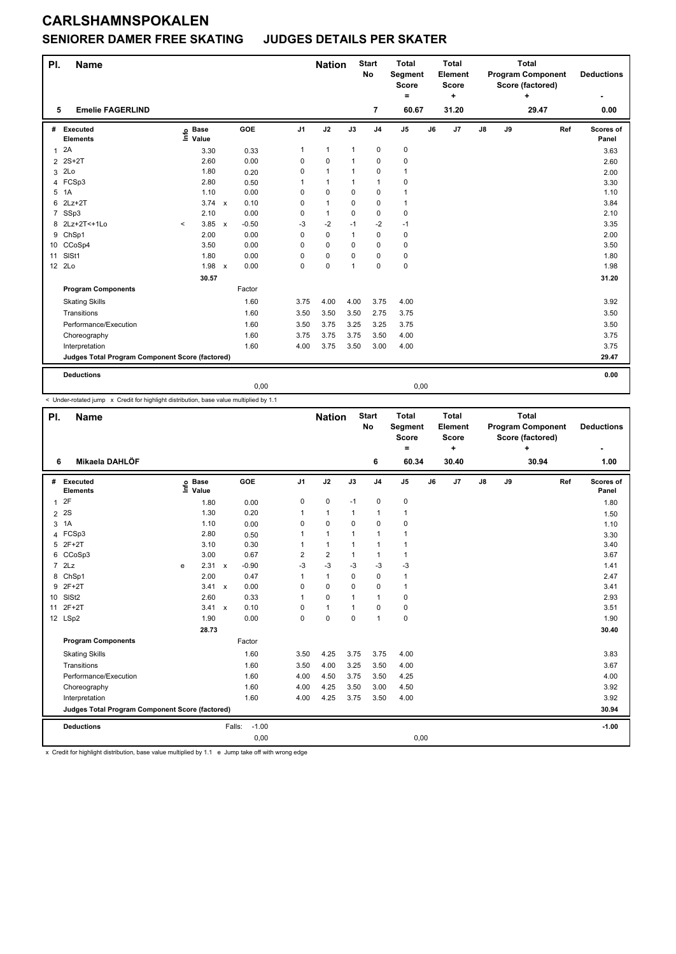#### **SENIORER DAMER FREE SKATING JUDGES DETAILS PER SKATER**

| PI.            | <b>Name</b>                                     |         |                                  |              |            |                | <b>Nation</b> |              | <b>Start</b><br><b>No</b> | <b>Total</b><br>Segment<br><b>Score</b><br>Ξ. |    | <b>Total</b><br>Element<br><b>Score</b><br>٠ |               |    | <b>Total</b><br><b>Program Component</b><br>Score (factored)<br>٠ |     | <b>Deductions</b>  |
|----------------|-------------------------------------------------|---------|----------------------------------|--------------|------------|----------------|---------------|--------------|---------------------------|-----------------------------------------------|----|----------------------------------------------|---------------|----|-------------------------------------------------------------------|-----|--------------------|
| 5              | <b>Emelie FAGERLIND</b>                         |         |                                  |              |            |                |               |              | $\overline{7}$            | 60.67                                         |    | 31.20                                        |               |    | 29.47                                                             |     | 0.00               |
| #              | Executed<br><b>Elements</b>                     |         | <b>Base</b><br>e Base<br>⊑ Value |              | <b>GOE</b> | J <sub>1</sub> | J2            | J3           | J <sub>4</sub>            | J <sub>5</sub>                                | J6 | J7                                           | $\mathsf{J}8$ | J9 |                                                                   | Ref | Scores of<br>Panel |
| $\mathbf{1}$   | 2A                                              |         | 3.30                             |              | 0.33       | 1              | $\mathbf{1}$  | $\mathbf{1}$ | $\mathbf 0$               | 0                                             |    |                                              |               |    |                                                                   |     | 3.63               |
| $\overline{2}$ | $2S+2T$                                         |         | 2.60                             |              | 0.00       | 0              | 0             | 1            | 0                         | 0                                             |    |                                              |               |    |                                                                   |     | 2.60               |
| 3              | 2Lo                                             |         | 1.80                             |              | 0.20       | 0              | $\mathbf{1}$  | 1            | $\mathbf 0$               | $\mathbf{1}$                                  |    |                                              |               |    |                                                                   |     | 2.00               |
| 4              | FCSp3                                           |         | 2.80                             |              | 0.50       |                | $\mathbf{1}$  | $\mathbf 1$  | $\mathbf{1}$              | 0                                             |    |                                              |               |    |                                                                   |     | 3.30               |
| 5              | 1A                                              |         | 1.10                             |              | 0.00       | 0              | $\mathbf 0$   | $\Omega$     | $\mathbf 0$               | $\mathbf{1}$                                  |    |                                              |               |    |                                                                   |     | 1.10               |
| 6              | $2Lz+2T$                                        |         | $3.74 \times$                    |              | 0.10       | 0              | $\mathbf{1}$  | $\mathbf 0$  | $\mathbf 0$               | $\mathbf{1}$                                  |    |                                              |               |    |                                                                   |     | 3.84               |
| $\overline{7}$ | SSp3                                            |         | 2.10                             |              | 0.00       | 0              | $\mathbf{1}$  | $\Omega$     | $\Omega$                  | 0                                             |    |                                              |               |    |                                                                   |     | 2.10               |
| 8              | 2Lz+2T<+1Lo                                     | $\prec$ | 3.85                             | $\mathsf{x}$ | $-0.50$    | $-3$           | $-2$          | $-1$         | $-2$                      | $-1$                                          |    |                                              |               |    |                                                                   |     | 3.35               |
|                | 9 ChSp1                                         |         | 2.00                             |              | 0.00       | 0              | $\mathbf 0$   | $\mathbf{1}$ | $\pmb{0}$                 | $\pmb{0}$                                     |    |                                              |               |    |                                                                   |     | 2.00               |
|                | 10 CCoSp4                                       |         | 3.50                             |              | 0.00       | 0              | $\mathbf 0$   | $\Omega$     | $\mathbf 0$               | $\mathbf 0$                                   |    |                                              |               |    |                                                                   |     | 3.50               |
| 11             | SISt1                                           |         | 1.80                             |              | 0.00       | 0              | $\mathbf 0$   | $\Omega$     | $\mathbf 0$               | $\pmb{0}$                                     |    |                                              |               |    |                                                                   |     | 1.80               |
|                | 12 2Lo                                          |         | 1.98                             | $\mathsf{x}$ | 0.00       | 0              | $\mathbf 0$   | $\mathbf{1}$ | $\mathbf 0$               | $\pmb{0}$                                     |    |                                              |               |    |                                                                   |     | 1.98               |
|                |                                                 |         | 30.57                            |              |            |                |               |              |                           |                                               |    |                                              |               |    |                                                                   |     | 31.20              |
|                | <b>Program Components</b>                       |         |                                  |              | Factor     |                |               |              |                           |                                               |    |                                              |               |    |                                                                   |     |                    |
|                | <b>Skating Skills</b>                           |         |                                  |              | 1.60       | 3.75           | 4.00          | 4.00         | 3.75                      | 4.00                                          |    |                                              |               |    |                                                                   |     | 3.92               |
|                | Transitions                                     |         |                                  |              | 1.60       | 3.50           | 3.50          | 3.50         | 2.75                      | 3.75                                          |    |                                              |               |    |                                                                   |     | 3.50               |
|                | Performance/Execution                           |         |                                  |              | 1.60       | 3.50           | 3.75          | 3.25         | 3.25                      | 3.75                                          |    |                                              |               |    |                                                                   |     | 3.50               |
|                | Choreography                                    |         |                                  |              | 1.60       | 3.75           | 3.75          | 3.75         | 3.50                      | 4.00                                          |    |                                              |               |    |                                                                   |     | 3.75               |
|                | Interpretation                                  |         |                                  |              | 1.60       | 4.00           | 3.75          | 3.50         | 3.00                      | 4.00                                          |    |                                              |               |    |                                                                   |     | 3.75               |
|                | Judges Total Program Component Score (factored) |         |                                  |              |            |                |               |              |                           |                                               |    |                                              |               |    |                                                                   |     | 29.47              |
|                | <b>Deductions</b>                               |         |                                  |              |            |                |               |              |                           |                                               |    |                                              |               |    |                                                                   |     | 0.00               |
|                |                                                 |         |                                  |              | 0,00       |                |               |              |                           | 0,00                                          |    |                                              |               |    |                                                                   |     |                    |

< Under-rotated jump x Credit for highlight distribution, base value multiplied by 1.1

| PI.            | <b>Name</b>                                     |      |                      |              |            |                | <b>Nation</b>  |              | <b>Start</b><br><b>No</b> | <b>Total</b><br>Segment<br><b>Score</b><br>Ξ. |    | <b>Total</b><br>Element<br><b>Score</b><br>÷ |               |    | <b>Total</b><br><b>Program Component</b><br>Score (factored)<br>÷ |     | <b>Deductions</b>  |
|----------------|-------------------------------------------------|------|----------------------|--------------|------------|----------------|----------------|--------------|---------------------------|-----------------------------------------------|----|----------------------------------------------|---------------|----|-------------------------------------------------------------------|-----|--------------------|
| 6              | Mikaela DAHLÖF                                  |      |                      |              |            |                |                |              | 6                         | 60.34                                         |    | 30.40                                        |               |    | 30.94                                                             |     | 1.00               |
| #              | Executed<br><b>Elements</b>                     | lnfo | <b>Base</b><br>Value |              | <b>GOE</b> | J <sub>1</sub> | J2             | J3           | J <sub>4</sub>            | J <sub>5</sub>                                | J6 | J7                                           | $\mathsf{J}8$ | J9 |                                                                   | Ref | Scores of<br>Panel |
| $\mathbf{1}$   | 2F                                              |      | 1.80                 |              | 0.00       | 0              | $\mathbf 0$    | $-1$         | $\pmb{0}$                 | $\pmb{0}$                                     |    |                                              |               |    |                                                                   |     | 1.80               |
| $\overline{2}$ | 2S                                              |      | 1.30                 |              | 0.20       | 1              | $\mathbf{1}$   | $\mathbf{1}$ | $\mathbf{1}$              | $\mathbf{1}$                                  |    |                                              |               |    |                                                                   |     | 1.50               |
| 3              | 1A                                              |      | 1.10                 |              | 0.00       | 0              | $\mathbf 0$    | $\mathbf 0$  | $\mathbf 0$               | $\pmb{0}$                                     |    |                                              |               |    |                                                                   |     | 1.10               |
| 4              | FCSp3                                           |      | 2.80                 |              | 0.50       | 1              | $\mathbf{1}$   | 1            | $\overline{1}$            | $\mathbf{1}$                                  |    |                                              |               |    |                                                                   |     | 3.30               |
| 5              | $2F+2T$                                         |      | 3.10                 |              | 0.30       | 1              | $\overline{1}$ | 1            | $\overline{1}$            | $\mathbf{1}$                                  |    |                                              |               |    |                                                                   |     | 3.40               |
| 6              | CCoSp3                                          |      | 3.00                 |              | 0.67       | 2              | $\overline{2}$ | $\mathbf{1}$ | $\overline{1}$            | 1                                             |    |                                              |               |    |                                                                   |     | 3.67               |
| $\overline{7}$ | 2Lz                                             | e    | 2.31                 | $\mathsf{x}$ | $-0.90$    | $-3$           | $-3$           | $-3$         | $-3$                      | $-3$                                          |    |                                              |               |    |                                                                   |     | 1.41               |
|                | 8 ChSp1                                         |      | 2.00                 |              | 0.47       | 1              | $\mathbf{1}$   | $\mathbf 0$  | $\mathbf 0$               | $\mathbf{1}$                                  |    |                                              |               |    |                                                                   |     | 2.47               |
|                | 9 2F+2T                                         |      | $3.41 \times$        |              | 0.00       | 0              | $\mathbf 0$    | $\Omega$     | $\mathbf 0$               | $\mathbf{1}$                                  |    |                                              |               |    |                                                                   |     | 3.41               |
| 10             | SISt <sub>2</sub>                               |      | 2.60                 |              | 0.33       | 1              | $\mathbf 0$    | $\mathbf{1}$ | $\mathbf{1}$              | $\mathbf 0$                                   |    |                                              |               |    |                                                                   |     | 2.93               |
| 11             | $2F+2T$                                         |      | 3.41                 | $\mathsf{x}$ | 0.10       | 0              | $\mathbf{1}$   | 1            | $\pmb{0}$                 | $\pmb{0}$                                     |    |                                              |               |    |                                                                   |     | 3.51               |
|                | 12 LSp2                                         |      | 1.90                 |              | 0.00       | 0              | $\mathbf 0$    | $\mathbf 0$  | $\overline{1}$            | $\mathbf 0$                                   |    |                                              |               |    |                                                                   |     | 1.90               |
|                |                                                 |      | 28.73                |              |            |                |                |              |                           |                                               |    |                                              |               |    |                                                                   |     | 30.40              |
|                | <b>Program Components</b>                       |      |                      |              | Factor     |                |                |              |                           |                                               |    |                                              |               |    |                                                                   |     |                    |
|                | <b>Skating Skills</b>                           |      |                      |              | 1.60       | 3.50           | 4.25           | 3.75         | 3.75                      | 4.00                                          |    |                                              |               |    |                                                                   |     | 3.83               |
|                | Transitions                                     |      |                      |              | 1.60       | 3.50           | 4.00           | 3.25         | 3.50                      | 4.00                                          |    |                                              |               |    |                                                                   |     | 3.67               |
|                | Performance/Execution                           |      |                      |              | 1.60       | 4.00           | 4.50           | 3.75         | 3.50                      | 4.25                                          |    |                                              |               |    |                                                                   |     | 4.00               |
|                | Choreography                                    |      |                      |              | 1.60       | 4.00           | 4.25           | 3.50         | 3.00                      | 4.50                                          |    |                                              |               |    |                                                                   |     | 3.92               |
|                | Interpretation                                  |      |                      |              | 1.60       | 4.00           | 4.25           | 3.75         | 3.50                      | 4.00                                          |    |                                              |               |    |                                                                   |     | 3.92               |
|                | Judges Total Program Component Score (factored) |      |                      |              |            |                |                |              |                           |                                               |    |                                              |               |    |                                                                   |     | 30.94              |
|                | <b>Deductions</b>                               |      |                      | Falls:       | $-1.00$    |                |                |              |                           |                                               |    |                                              |               |    |                                                                   |     | $-1.00$            |
|                |                                                 |      |                      |              | 0,00       |                |                |              |                           | 0,00                                          |    |                                              |               |    |                                                                   |     |                    |

x Credit for highlight distribution, base value multiplied by 1.1 e Jump take off with wrong edge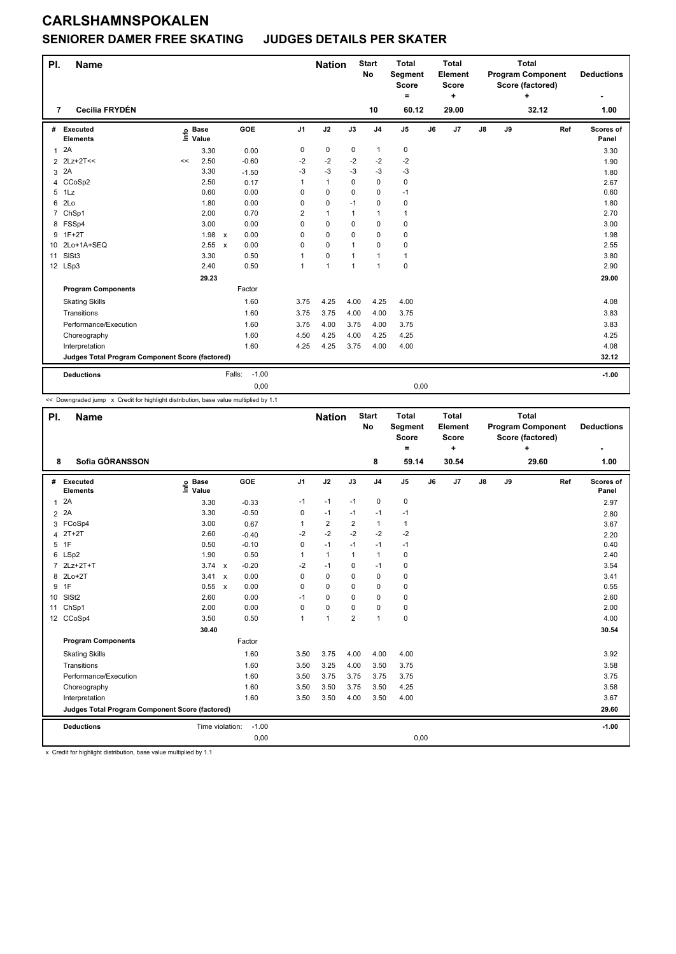#### **SENIORER DAMER FREE SKATING JUDGES DETAILS PER SKATER**

| PI.            | <b>Name</b>                                     |    |                                  |                      |                | <b>Nation</b> |              | <b>Start</b><br><b>No</b> | <b>Total</b><br>Segment<br><b>Score</b><br>$=$ |    | <b>Total</b><br>Element<br><b>Score</b><br>٠ |    |    | <b>Total</b><br><b>Program Component</b><br>Score (factored)<br>+ |     | <b>Deductions</b>  |
|----------------|-------------------------------------------------|----|----------------------------------|----------------------|----------------|---------------|--------------|---------------------------|------------------------------------------------|----|----------------------------------------------|----|----|-------------------------------------------------------------------|-----|--------------------|
| 7              | Cecilia FRYDÉN                                  |    |                                  |                      |                |               |              | 10                        | 60.12                                          |    | 29.00                                        |    |    | 32.12                                                             |     | 1.00               |
| #              | Executed<br><b>Elements</b>                     |    | <b>Base</b><br>e Base<br>⊑ Value | GOE                  | J <sub>1</sub> | J2            | J3           | J <sub>4</sub>            | J <sub>5</sub>                                 | J6 | J7                                           | J8 | J9 |                                                                   | Ref | Scores of<br>Panel |
| $\mathbf{1}$   | 2A                                              |    | 3.30                             | 0.00                 | 0              | 0             | 0            | $\mathbf{1}$              | 0                                              |    |                                              |    |    |                                                                   |     | 3.30               |
| $\overline{2}$ | $2Lz+2T<<$                                      | << | 2.50                             | $-0.60$              | -2             | $-2$          | $-2$         | $-2$                      | $-2$                                           |    |                                              |    |    |                                                                   |     | 1.90               |
| 3              | 2A                                              |    | 3.30                             | $-1.50$              | $-3$           | $-3$          | $-3$         | $-3$                      | $-3$                                           |    |                                              |    |    |                                                                   |     | 1.80               |
| 4              | CCoSp2                                          |    | 2.50                             | 0.17                 | 1              | $\mathbf{1}$  | 0            | $\mathbf 0$               | 0                                              |    |                                              |    |    |                                                                   |     | 2.67               |
| 5              | 1Lz                                             |    | 0.60                             | 0.00                 | 0              | 0             | 0            | $\mathbf 0$               | $-1$                                           |    |                                              |    |    |                                                                   |     | 0.60               |
| 6              | 2Lo                                             |    | 1.80                             | 0.00                 | 0              | 0             | $-1$         | $\mathbf 0$               | 0                                              |    |                                              |    |    |                                                                   |     | 1.80               |
| $\overline{7}$ | ChSp1                                           |    | 2.00                             | 0.70                 | 2              | $\mathbf{1}$  | 1            | $\mathbf{1}$              | 1                                              |    |                                              |    |    |                                                                   |     | 2.70               |
|                | 8 FSSp4                                         |    | 3.00                             | 0.00                 | 0              | 0             | 0            | $\mathbf 0$               | 0                                              |    |                                              |    |    |                                                                   |     | 3.00               |
| 9              | $1F+2T$                                         |    | 1.98                             | 0.00<br>$\mathsf{x}$ | $\Omega$       | $\Omega$      | 0            | $\Omega$                  | 0                                              |    |                                              |    |    |                                                                   |     | 1.98               |
| 10             | 2Lo+1A+SEQ                                      |    | 2.55                             | 0.00<br>$\mathsf{x}$ | 0              | 0             | 1            | $\Omega$                  | 0                                              |    |                                              |    |    |                                                                   |     | 2.55               |
| 11             | SISt <sub>3</sub>                               |    | 3.30                             | 0.50                 | 1              | 0             | 1            | $\mathbf{1}$              | $\mathbf{1}$                                   |    |                                              |    |    |                                                                   |     | 3.80               |
|                | 12 LSp3                                         |    | 2.40                             | 0.50                 | $\mathbf{1}$   | 1             | $\mathbf{1}$ | $\mathbf{1}$              | 0                                              |    |                                              |    |    |                                                                   |     | 2.90               |
|                |                                                 |    | 29.23                            |                      |                |               |              |                           |                                                |    |                                              |    |    |                                                                   |     | 29.00              |
|                | <b>Program Components</b>                       |    |                                  | Factor               |                |               |              |                           |                                                |    |                                              |    |    |                                                                   |     |                    |
|                | <b>Skating Skills</b>                           |    |                                  | 1.60                 | 3.75           | 4.25          | 4.00         | 4.25                      | 4.00                                           |    |                                              |    |    |                                                                   |     | 4.08               |
|                | Transitions                                     |    |                                  | 1.60                 | 3.75           | 3.75          | 4.00         | 4.00                      | 3.75                                           |    |                                              |    |    |                                                                   |     | 3.83               |
|                | Performance/Execution                           |    |                                  | 1.60                 | 3.75           | 4.00          | 3.75         | 4.00                      | 3.75                                           |    |                                              |    |    |                                                                   |     | 3.83               |
|                | Choreography                                    |    |                                  | 1.60                 | 4.50           | 4.25          | 4.00         | 4.25                      | 4.25                                           |    |                                              |    |    |                                                                   |     | 4.25               |
|                | Interpretation                                  |    |                                  | 1.60                 | 4.25           | 4.25          | 3.75         | 4.00                      | 4.00                                           |    |                                              |    |    |                                                                   |     | 4.08               |
|                | Judges Total Program Component Score (factored) |    |                                  |                      |                |               |              |                           |                                                |    |                                              |    |    |                                                                   |     | 32.12              |
|                | <b>Deductions</b>                               |    |                                  | $-1.00$<br>Falls:    |                |               |              |                           |                                                |    |                                              |    |    |                                                                   |     | $-1.00$            |
|                |                                                 |    |                                  | 0,00                 |                |               |              |                           | 0,00                                           |    |                                              |    |    |                                                                   |     |                    |

<< Downgraded jump x Credit for highlight distribution, base value multiplied by 1.1

| PI.            | <b>Name</b>                                     |                            |                                   |                | <b>Nation</b>  |                | <b>Start</b><br><b>No</b> | <b>Total</b><br>Segment<br><b>Score</b><br>= |    | <b>Total</b><br>Element<br><b>Score</b><br>٠ |               |    | <b>Total</b><br><b>Program Component</b><br>Score (factored)<br>÷ |     | <b>Deductions</b>  |
|----------------|-------------------------------------------------|----------------------------|-----------------------------------|----------------|----------------|----------------|---------------------------|----------------------------------------------|----|----------------------------------------------|---------------|----|-------------------------------------------------------------------|-----|--------------------|
| 8              | Sofia GÖRANSSON                                 |                            |                                   |                |                |                | 8                         | 59.14                                        |    | 30.54                                        |               |    | 29.60                                                             |     | 1.00               |
| #              | Executed<br><b>Elements</b>                     | <b>Base</b><br>١m<br>Value | GOE                               | J <sub>1</sub> | J2             | J3             | J <sub>4</sub>            | $\mathsf{J}5$                                | J6 | J7                                           | $\mathsf{J}8$ | J9 |                                                                   | Ref | Scores of<br>Panel |
| 1              | 2A                                              | 3.30                       | $-0.33$                           | $-1$           | $-1$           | $-1$           | $\pmb{0}$                 | 0                                            |    |                                              |               |    |                                                                   |     | 2.97               |
| $\overline{2}$ | 2A                                              | 3.30                       | $-0.50$                           | 0              | $-1$           | $-1$           | $-1$                      | $-1$                                         |    |                                              |               |    |                                                                   |     | 2.80               |
|                | 3 FCoSp4                                        | 3.00                       | 0.67                              | 1              | $\overline{2}$ | $\overline{2}$ | $\mathbf{1}$              | $\mathbf{1}$                                 |    |                                              |               |    |                                                                   |     | 3.67               |
| 4              | $2T+2T$                                         | 2.60                       | $-0.40$                           | $-2$           | $-2$           | $-2$           | $-2$                      | $-2$                                         |    |                                              |               |    |                                                                   |     | 2.20               |
| 5              | 1F                                              | 0.50                       | $-0.10$                           | 0              | $-1$           | $-1$           | $-1$                      | $-1$                                         |    |                                              |               |    |                                                                   |     | 0.40               |
| 6              | LSp2                                            | 1.90                       | 0.50                              | 1              | $\mathbf{1}$   | 1              | $\mathbf{1}$              | $\mathbf 0$                                  |    |                                              |               |    |                                                                   |     | 2.40               |
| $\overline{7}$ | 2Lz+2T+T                                        | 3.74                       | $-0.20$<br>$\mathsf{x}$           | $-2$           | $-1$           | $\Omega$       | $-1$                      | 0                                            |    |                                              |               |    |                                                                   |     | 3.54               |
| 8              | $2Lo+2T$                                        | 3.41                       | 0.00<br>$\boldsymbol{\mathsf{x}}$ | 0              | $\mathbf 0$    | $\mathbf 0$    | $\mathbf 0$               | $\mathbf 0$                                  |    |                                              |               |    |                                                                   |     | 3.41               |
| 9              | 1F                                              | 0.55 x                     | 0.00                              | 0              | $\Omega$       | $\Omega$       | $\mathbf 0$               | 0                                            |    |                                              |               |    |                                                                   |     | 0.55               |
| 10             | SISt <sub>2</sub>                               | 2.60                       | 0.00                              | $-1$           | $\Omega$       | $\Omega$       | $\mathbf 0$               | $\mathbf 0$                                  |    |                                              |               |    |                                                                   |     | 2.60               |
| 11             | ChSp1                                           | 2.00                       | 0.00                              | 0              | $\mathbf 0$    | $\mathbf 0$    | $\mathbf 0$               | 0                                            |    |                                              |               |    |                                                                   |     | 2.00               |
|                | 12 CCoSp4                                       | 3.50                       | 0.50                              | 1              | $\mathbf{1}$   | $\overline{2}$ | $\mathbf{1}$              | $\mathbf 0$                                  |    |                                              |               |    |                                                                   |     | 4.00               |
|                |                                                 | 30.40                      |                                   |                |                |                |                           |                                              |    |                                              |               |    |                                                                   |     | 30.54              |
|                | <b>Program Components</b>                       |                            | Factor                            |                |                |                |                           |                                              |    |                                              |               |    |                                                                   |     |                    |
|                | <b>Skating Skills</b>                           |                            | 1.60                              | 3.50           | 3.75           | 4.00           | 4.00                      | 4.00                                         |    |                                              |               |    |                                                                   |     | 3.92               |
|                | Transitions                                     |                            | 1.60                              | 3.50           | 3.25           | 4.00           | 3.50                      | 3.75                                         |    |                                              |               |    |                                                                   |     | 3.58               |
|                | Performance/Execution                           |                            | 1.60                              | 3.50           | 3.75           | 3.75           | 3.75                      | 3.75                                         |    |                                              |               |    |                                                                   |     | 3.75               |
|                | Choreography                                    |                            | 1.60                              | 3.50           | 3.50           | 3.75           | 3.50                      | 4.25                                         |    |                                              |               |    |                                                                   |     | 3.58               |
|                | Interpretation                                  |                            | 1.60                              | 3.50           | 3.50           | 4.00           | 3.50                      | 4.00                                         |    |                                              |               |    |                                                                   |     | 3.67               |
|                | Judges Total Program Component Score (factored) |                            |                                   |                |                |                |                           |                                              |    |                                              |               |    |                                                                   |     | 29.60              |
|                | <b>Deductions</b>                               | Time violation:            | $-1.00$                           |                |                |                |                           |                                              |    |                                              |               |    |                                                                   |     | $-1.00$            |
|                |                                                 |                            | 0,00                              |                |                |                |                           | 0,00                                         |    |                                              |               |    |                                                                   |     |                    |

x Credit for highlight distribution, base value multiplied by 1.1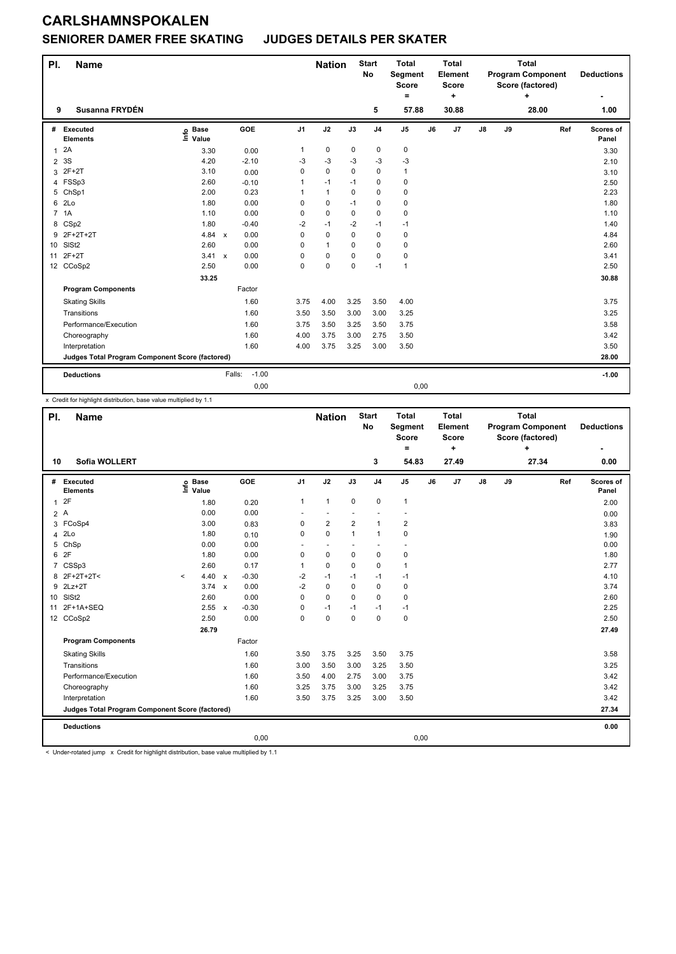#### **SENIORER DAMER FREE SKATING JUDGES DETAILS PER SKATER**

| PI.          | <b>Name</b>                                     |                            |                      |          | <b>Nation</b> |          | <b>Start</b><br><b>No</b> | <b>Total</b><br>Segment<br><b>Score</b><br>٠ |    | <b>Total</b><br>Element<br><b>Score</b><br>÷ |               |    | <b>Total</b><br><b>Program Component</b><br>Score (factored)<br>÷ |     | <b>Deductions</b>  |
|--------------|-------------------------------------------------|----------------------------|----------------------|----------|---------------|----------|---------------------------|----------------------------------------------|----|----------------------------------------------|---------------|----|-------------------------------------------------------------------|-----|--------------------|
| 9            | Susanna FRYDÉN                                  |                            |                      |          |               |          | 5                         | 57.88                                        |    | 30.88                                        |               |    | 28.00                                                             |     | 1.00               |
| #            | Executed<br><b>Elements</b>                     | <b>Base</b><br>۴ů<br>Value | GOE                  | J1       | J2            | J3       | J <sub>4</sub>            | J <sub>5</sub>                               | J6 | J <sub>7</sub>                               | $\mathsf{J}8$ | J9 |                                                                   | Ref | Scores of<br>Panel |
| $\mathbf{1}$ | 2A                                              | 3.30                       | 0.00                 | 1        | 0             | 0        | 0                         | 0                                            |    |                                              |               |    |                                                                   |     | 3.30               |
| 2            | 3S                                              | 4.20                       | $-2.10$              | -3       | $-3$          | $-3$     | $-3$                      | $-3$                                         |    |                                              |               |    |                                                                   |     | 2.10               |
| 3            | $2F+2T$                                         | 3.10                       | 0.00                 | $\Omega$ | $\mathbf 0$   | $\Omega$ | 0                         | $\mathbf{1}$                                 |    |                                              |               |    |                                                                   |     | 3.10               |
| 4            | FSSp3                                           | 2.60                       | $-0.10$              | 1        | $-1$          | $-1$     | 0                         | 0                                            |    |                                              |               |    |                                                                   |     | 2.50               |
| 5            | ChSp1                                           | 2.00                       | 0.23                 |          | $\mathbf{1}$  | 0        | 0                         | 0                                            |    |                                              |               |    |                                                                   |     | 2.23               |
| 6            | 2 <sub>LO</sub>                                 | 1.80                       | 0.00                 | $\Omega$ | $\mathbf 0$   | $-1$     | 0                         | 0                                            |    |                                              |               |    |                                                                   |     | 1.80               |
| $7^{\circ}$  | 1A                                              | 1.10                       | 0.00                 | $\Omega$ | $\mathbf 0$   | $\Omega$ | 0                         | 0                                            |    |                                              |               |    |                                                                   |     | 1.10               |
| 8            | CS <sub>p2</sub>                                | 1.80                       | $-0.40$              | $-2$     | $-1$          | $-2$     | $-1$                      | $-1$                                         |    |                                              |               |    |                                                                   |     | 1.40               |
| 9            | 2F+2T+2T                                        | 4.84                       | 0.00<br>$\mathsf{x}$ | $\Omega$ | $\mathbf 0$   | 0        | 0                         | 0                                            |    |                                              |               |    |                                                                   |     | 4.84               |
| 10           | SISt <sub>2</sub>                               | 2.60                       | 0.00                 | $\Omega$ | $\mathbf{1}$  | $\Omega$ | 0                         | 0                                            |    |                                              |               |    |                                                                   |     | 2.60               |
| 11           | $2F+2T$                                         | 3.41 x                     | 0.00                 | $\Omega$ | 0             | 0        | 0                         | 0                                            |    |                                              |               |    |                                                                   |     | 3.41               |
|              | 12 CCoSp2                                       | 2.50                       | 0.00                 | $\Omega$ | $\mathbf 0$   | 0        | $-1$                      | $\mathbf{1}$                                 |    |                                              |               |    |                                                                   |     | 2.50               |
|              |                                                 | 33.25                      |                      |          |               |          |                           |                                              |    |                                              |               |    |                                                                   |     | 30.88              |
|              | <b>Program Components</b>                       |                            | Factor               |          |               |          |                           |                                              |    |                                              |               |    |                                                                   |     |                    |
|              | <b>Skating Skills</b>                           |                            | 1.60                 | 3.75     | 4.00          | 3.25     | 3.50                      | 4.00                                         |    |                                              |               |    |                                                                   |     | 3.75               |
|              | Transitions                                     |                            | 1.60                 | 3.50     | 3.50          | 3.00     | 3.00                      | 3.25                                         |    |                                              |               |    |                                                                   |     | 3.25               |
|              | Performance/Execution                           |                            | 1.60                 | 3.75     | 3.50          | 3.25     | 3.50                      | 3.75                                         |    |                                              |               |    |                                                                   |     | 3.58               |
|              | Choreography                                    |                            | 1.60                 | 4.00     | 3.75          | 3.00     | 2.75                      | 3.50                                         |    |                                              |               |    |                                                                   |     | 3.42               |
|              | Interpretation                                  |                            | 1.60                 | 4.00     | 3.75          | 3.25     | 3.00                      | 3.50                                         |    |                                              |               |    |                                                                   |     | 3.50               |
|              | Judges Total Program Component Score (factored) |                            |                      |          |               |          |                           |                                              |    |                                              |               |    |                                                                   |     | 28.00              |
|              | <b>Deductions</b>                               |                            | $-1.00$<br>Falls:    |          |               |          |                           |                                              |    |                                              |               |    |                                                                   |     | $-1.00$            |
|              |                                                 |                            | 0,00                 |          |               |          |                           | 0,00                                         |    |                                              |               |    |                                                                   |     |                    |

x Credit for highlight distribution, base value multiplied by 1.1

| PI.             | Name                                            |         |                      |         |                | <b>Nation</b>  |                | <b>Start</b><br>No       | <b>Total</b><br>Segment<br><b>Score</b> |    | <b>Total</b><br>Element<br><b>Score</b> |               |    | <b>Total</b><br><b>Program Component</b><br>Score (factored) |     | <b>Deductions</b>  |
|-----------------|-------------------------------------------------|---------|----------------------|---------|----------------|----------------|----------------|--------------------------|-----------------------------------------|----|-----------------------------------------|---------------|----|--------------------------------------------------------------|-----|--------------------|
|                 |                                                 |         |                      |         |                |                |                |                          | $=$                                     |    | ٠                                       |               |    | +                                                            |     |                    |
| 10              | Sofia WOLLERT                                   |         |                      |         |                |                |                | 3                        | 54.83                                   |    | 27.49                                   |               |    | 27.34                                                        |     | 0.00               |
|                 | # Executed<br><b>Elements</b>                   | ١m      | <b>Base</b><br>Value | GOE     | J <sub>1</sub> | J2             | J3             | J <sub>4</sub>           | $\mathsf{J}5$                           | J6 | J7                                      | $\mathsf{J}8$ | J9 |                                                              | Ref | Scores of<br>Panel |
| $\mathbf{1}$    | 2F                                              |         | 1.80                 | 0.20    | 1              | $\mathbf{1}$   | 0              | 0                        | $\mathbf{1}$                            |    |                                         |               |    |                                                              |     | 2.00               |
| 2A              |                                                 |         | 0.00                 | 0.00    |                |                |                |                          |                                         |    |                                         |               |    |                                                              |     | 0.00               |
|                 | 3 FCoSp4                                        |         | 3.00                 | 0.83    | $\Omega$       | $\overline{2}$ | $\overline{2}$ | $\mathbf{1}$             | $\overline{\mathbf{c}}$                 |    |                                         |               |    |                                                              |     | 3.83               |
| 4               | 2Lo                                             |         | 1.80                 | 0.10    | 0              | $\mathbf 0$    | $\mathbf{1}$   | $\mathbf{1}$             | 0                                       |    |                                         |               |    |                                                              |     | 1.90               |
| 5               | ChSp                                            |         | 0.00                 | 0.00    |                | $\sim$         |                | $\overline{\phantom{a}}$ |                                         |    |                                         |               |    |                                                              |     | 0.00               |
| 6               | 2F                                              |         | 1.80                 | 0.00    | 0              | $\mathbf 0$    | $\mathbf 0$    | 0                        | 0                                       |    |                                         |               |    |                                                              |     | 1.80               |
| $\overline{7}$  | CSSp3                                           |         | 2.60                 | 0.17    | 1              | 0              | $\Omega$       | 0                        | 1                                       |    |                                         |               |    |                                                              |     | 2.77               |
| 8               | 2F+2T+2T<                                       | $\prec$ | 4.40 $\times$        | $-0.30$ | $-2$           | $-1$           | $-1$           | $-1$                     | $-1$                                    |    |                                         |               |    |                                                              |     | 4.10               |
| 9               | $2Lz+2T$                                        |         | $3.74 \times$        | 0.00    | $-2$           | 0              | 0              | 0                        | 0                                       |    |                                         |               |    |                                                              |     | 3.74               |
| 10 <sup>1</sup> | SISt <sub>2</sub>                               |         | 2.60                 | 0.00    | $\Omega$       | $\mathbf 0$    | $\Omega$       | 0                        | 0                                       |    |                                         |               |    |                                                              |     | 2.60               |
| 11              | $2F+1A+SEQ$                                     |         | 2.55 x               | $-0.30$ | $\Omega$       | $-1$           | $-1$           | $-1$                     | $-1$                                    |    |                                         |               |    |                                                              |     | 2.25               |
|                 | 12 CCoSp2                                       |         | 2.50                 | 0.00    | 0              | $\mathbf 0$    | $\mathbf 0$    | $\mathsf 0$              | 0                                       |    |                                         |               |    |                                                              |     | 2.50               |
|                 |                                                 |         | 26.79                |         |                |                |                |                          |                                         |    |                                         |               |    |                                                              |     | 27.49              |
|                 | <b>Program Components</b>                       |         |                      | Factor  |                |                |                |                          |                                         |    |                                         |               |    |                                                              |     |                    |
|                 | <b>Skating Skills</b>                           |         |                      | 1.60    | 3.50           | 3.75           | 3.25           | 3.50                     | 3.75                                    |    |                                         |               |    |                                                              |     | 3.58               |
|                 | Transitions                                     |         |                      | 1.60    | 3.00           | 3.50           | 3.00           | 3.25                     | 3.50                                    |    |                                         |               |    |                                                              |     | 3.25               |
|                 | Performance/Execution                           |         |                      | 1.60    | 3.50           | 4.00           | 2.75           | 3.00                     | 3.75                                    |    |                                         |               |    |                                                              |     | 3.42               |
|                 | Choreography                                    |         |                      | 1.60    | 3.25           | 3.75           | 3.00           | 3.25                     | 3.75                                    |    |                                         |               |    |                                                              |     | 3.42               |
|                 | Interpretation                                  |         |                      | 1.60    | 3.50           | 3.75           | 3.25           | 3.00                     | 3.50                                    |    |                                         |               |    |                                                              |     | 3.42               |
|                 | Judges Total Program Component Score (factored) |         |                      |         |                |                |                |                          |                                         |    |                                         |               |    |                                                              |     | 27.34              |
|                 | <b>Deductions</b>                               |         |                      |         |                |                |                |                          |                                         |    |                                         |               |    |                                                              |     | 0.00               |
|                 |                                                 |         |                      |         | 0,00           |                |                |                          | 0,00                                    |    |                                         |               |    |                                                              |     |                    |

< Under-rotated jump x Credit for highlight distribution, base value multiplied by 1.1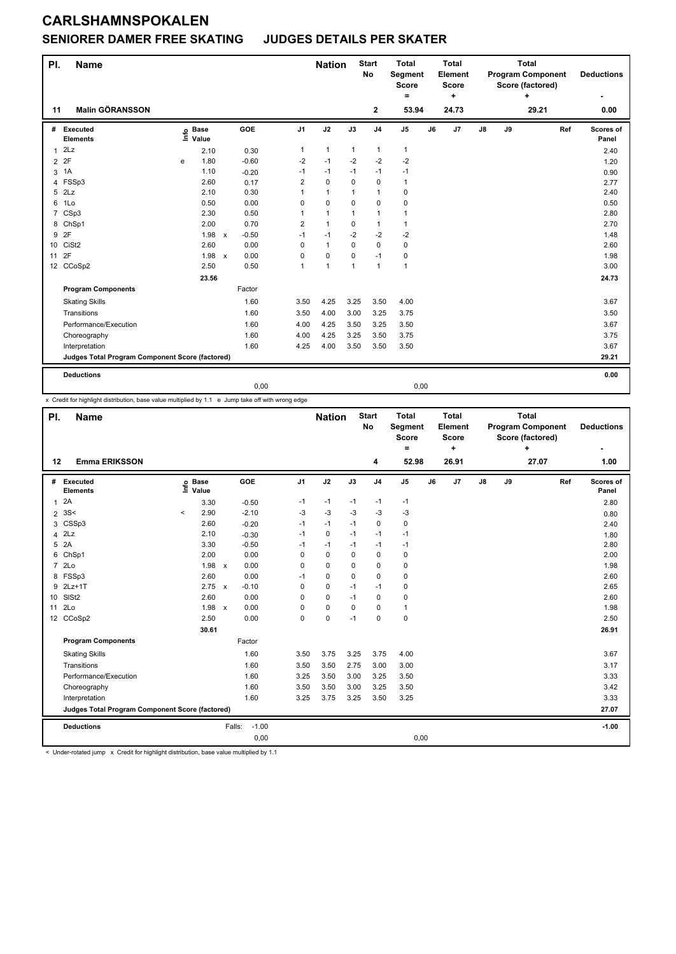### **SENIORER DAMER FREE SKATING JUDGES DETAILS PER SKATER**

| PI.              | <b>Name</b>                                     |        |                      |              |         |                | <b>Nation</b> |             | <b>Start</b><br>No | <b>Total</b><br>Segment<br><b>Score</b><br>۰ |    | Total<br>Element<br><b>Score</b><br>٠ |               |    | Total<br><b>Program Component</b><br>Score (factored)<br>٠ | <b>Deductions</b>  |
|------------------|-------------------------------------------------|--------|----------------------|--------------|---------|----------------|---------------|-------------|--------------------|----------------------------------------------|----|---------------------------------------|---------------|----|------------------------------------------------------------|--------------------|
| 11               | <b>Malin GÖRANSSON</b>                          |        |                      |              |         |                |               |             | $\mathbf{2}$       | 53.94                                        |    | 24.73                                 |               |    | 29.21                                                      | 0.00               |
|                  | # Executed<br><b>Elements</b>                   | ڡ<br>Ξ | <b>Base</b><br>Value |              | GOE     | J1             | J2            | J3          | J <sub>4</sub>     | J <sub>5</sub>                               | J6 | J7                                    | $\mathsf{J}8$ | J9 | Ref                                                        | Scores of<br>Panel |
| $1$ 2Lz          |                                                 |        | 2.10                 |              | 0.30    | 1              | $\mathbf{1}$  | 1           | $\mathbf{1}$       | 1                                            |    |                                       |               |    |                                                            | 2.40               |
| 2 2F             |                                                 | e      | 1.80                 |              | $-0.60$ | $-2$           | $-1$          | $-2$        | $-2$               | $-2$                                         |    |                                       |               |    |                                                            | 1.20               |
| 3 <sup>1</sup> A |                                                 |        | 1.10                 |              | $-0.20$ | $-1$           | $-1$          | $-1$        | $-1$               | $-1$                                         |    |                                       |               |    |                                                            | 0.90               |
|                  | 4 FSSp3                                         |        | 2.60                 |              | 0.17    | 2              | $\mathbf 0$   | 0           | $\mathbf 0$        | $\mathbf{1}$                                 |    |                                       |               |    |                                                            | 2.77               |
| $5$ $2Lz$        |                                                 |        | 2.10                 |              | 0.30    | 1              | 1             | 1           | $\mathbf{1}$       | 0                                            |    |                                       |               |    |                                                            | 2.40               |
| 6 1Lo            |                                                 |        | 0.50                 |              | 0.00    | $\mathbf 0$    | $\mathbf 0$   | $\mathbf 0$ | $\mathbf 0$        | $\mathbf 0$                                  |    |                                       |               |    |                                                            | 0.50               |
|                  | 7 CSp3                                          |        | 2.30                 |              | 0.50    |                | 1             | 1           | $\mathbf{1}$       | 1                                            |    |                                       |               |    |                                                            | 2.80               |
|                  | 8 ChSp1                                         |        | 2.00                 |              | 0.70    | $\overline{2}$ | $\mathbf{1}$  | $\mathbf 0$ | $\mathbf{1}$       | $\mathbf{1}$                                 |    |                                       |               |    |                                                            | 2.70               |
| 9 2F             |                                                 |        | 1.98                 | $\mathbf{x}$ | $-0.50$ | $-1$           | $-1$          | $-2$        | $-2$               | $-2$                                         |    |                                       |               |    |                                                            | 1.48               |
| 10 CiSt2         |                                                 |        | 2.60                 |              | 0.00    | 0              | $\mathbf{1}$  | 0           | 0                  | 0                                            |    |                                       |               |    |                                                            | 2.60               |
| 11 2F            |                                                 |        | 1.98 x               |              | 0.00    | 0              | $\mathbf 0$   | 0           | $-1$               | 0                                            |    |                                       |               |    |                                                            | 1.98               |
|                  | 12 CCoSp2                                       |        | 2.50                 |              | 0.50    | $\mathbf{1}$   | $\mathbf{1}$  | 1           | $\mathbf{1}$       | $\mathbf{1}$                                 |    |                                       |               |    |                                                            | 3.00               |
|                  |                                                 |        | 23.56                |              |         |                |               |             |                    |                                              |    |                                       |               |    |                                                            | 24.73              |
|                  | <b>Program Components</b>                       |        |                      |              | Factor  |                |               |             |                    |                                              |    |                                       |               |    |                                                            |                    |
|                  | <b>Skating Skills</b>                           |        |                      |              | 1.60    | 3.50           | 4.25          | 3.25        | 3.50               | 4.00                                         |    |                                       |               |    |                                                            | 3.67               |
|                  | Transitions                                     |        |                      |              | 1.60    | 3.50           | 4.00          | 3.00        | 3.25               | 3.75                                         |    |                                       |               |    |                                                            | 3.50               |
|                  | Performance/Execution                           |        |                      |              | 1.60    | 4.00           | 4.25          | 3.50        | 3.25               | 3.50                                         |    |                                       |               |    |                                                            | 3.67               |
|                  | Choreography                                    |        |                      |              | 1.60    | 4.00           | 4.25          | 3.25        | 3.50               | 3.75                                         |    |                                       |               |    |                                                            | 3.75               |
|                  | Interpretation                                  |        |                      |              | 1.60    | 4.25           | 4.00          | 3.50        | 3.50               | 3.50                                         |    |                                       |               |    |                                                            | 3.67               |
|                  | Judges Total Program Component Score (factored) |        |                      |              |         |                |               |             |                    |                                              |    |                                       |               |    |                                                            | 29.21              |

0,00 0,00

x Credit for highlight distribution, base value multiplied by 1.1 e Jump take off with wrong edge

| PI.             | Name                                            |          |                            |                                   |                | <b>Nation</b> |      | <b>Start</b><br><b>No</b> | <b>Total</b><br>Segment<br><b>Score</b><br>$=$ |    | <b>Total</b><br>Element<br>Score<br>٠ |               |    | <b>Total</b><br><b>Program Component</b><br>Score (factored)<br>٠ |     | <b>Deductions</b>  |
|-----------------|-------------------------------------------------|----------|----------------------------|-----------------------------------|----------------|---------------|------|---------------------------|------------------------------------------------|----|---------------------------------------|---------------|----|-------------------------------------------------------------------|-----|--------------------|
| 12              | <b>Emma ERIKSSON</b>                            |          |                            |                                   |                |               |      | 4                         | 52.98                                          |    | 26.91                                 |               |    | 27.07                                                             |     | 1.00               |
|                 | # Executed<br><b>Elements</b>                   |          | e Base<br>E Value<br>Value | <b>GOE</b>                        | J <sub>1</sub> | J2            | J3   | J <sub>4</sub>            | J5                                             | J6 | J7                                    | $\mathsf{J}8$ | J9 |                                                                   | Ref | Scores of<br>Panel |
| 1               | 2A                                              |          | 3.30                       | $-0.50$                           | $-1$           | $-1$          | $-1$ | $-1$                      | $-1$                                           |    |                                       |               |    |                                                                   |     | 2.80               |
| $\overline{2}$  | 3S<                                             | $\hat{}$ | 2.90                       | $-2.10$                           | $-3$           | $-3$          | $-3$ | $-3$                      | $-3$                                           |    |                                       |               |    |                                                                   |     | 0.80               |
| 3               | CSSp3                                           |          | 2.60                       | $-0.20$                           | $-1$           | $-1$          | $-1$ | $\Omega$                  | 0                                              |    |                                       |               |    |                                                                   |     | 2.40               |
| 4               | 2Lz                                             |          | 2.10                       | $-0.30$                           | $-1$           | $\mathbf 0$   | $-1$ | $-1$                      | $-1$                                           |    |                                       |               |    |                                                                   |     | 1.80               |
| 5               | 2A                                              |          | 3.30                       | $-0.50$                           | $-1$           | $-1$          | $-1$ | $-1$                      | $-1$                                           |    |                                       |               |    |                                                                   |     | 2.80               |
| 6               | ChSp1                                           |          | 2.00                       | 0.00                              | 0              | 0             | 0    | $\mathbf 0$               | 0                                              |    |                                       |               |    |                                                                   |     | 2.00               |
|                 | 7 2Lo                                           |          | 1.98                       | 0.00<br>$\boldsymbol{\mathsf{x}}$ | $\Omega$       | 0             | 0    | 0                         | 0                                              |    |                                       |               |    |                                                                   |     | 1.98               |
| 8               | FSSp3                                           |          | 2.60                       | 0.00                              | $-1$           | 0             | 0    | $\mathbf 0$               | 0                                              |    |                                       |               |    |                                                                   |     | 2.60               |
| 9               | $2Lz+1T$                                        |          | 2.75 x                     | $-0.10$                           | $\Omega$       | $\mathbf 0$   | $-1$ | $-1$                      | 0                                              |    |                                       |               |    |                                                                   |     | 2.65               |
| 10 <sup>1</sup> | SISt <sub>2</sub>                               |          | 2.60                       | 0.00                              | $\Omega$       | $\mathbf 0$   | $-1$ | 0                         | 0                                              |    |                                       |               |    |                                                                   |     | 2.60               |
| 11              | 2 <sub>0</sub>                                  |          | 1.98 x                     | 0.00                              | 0              | $\mathbf 0$   | 0    | $\mathbf 0$               | 1                                              |    |                                       |               |    |                                                                   |     | 1.98               |
|                 | 12 CCoSp2                                       |          | 2.50                       | 0.00                              | 0              | $\mathbf 0$   | $-1$ | $\mathbf 0$               | 0                                              |    |                                       |               |    |                                                                   |     | 2.50               |
|                 |                                                 |          | 30.61                      |                                   |                |               |      |                           |                                                |    |                                       |               |    |                                                                   |     | 26.91              |
|                 | <b>Program Components</b>                       |          |                            | Factor                            |                |               |      |                           |                                                |    |                                       |               |    |                                                                   |     |                    |
|                 | <b>Skating Skills</b>                           |          |                            | 1.60                              | 3.50           | 3.75          | 3.25 | 3.75                      | 4.00                                           |    |                                       |               |    |                                                                   |     | 3.67               |
|                 | Transitions                                     |          |                            | 1.60                              | 3.50           | 3.50          | 2.75 | 3.00                      | 3.00                                           |    |                                       |               |    |                                                                   |     | 3.17               |
|                 | Performance/Execution                           |          |                            | 1.60                              | 3.25           | 3.50          | 3.00 | 3.25                      | 3.50                                           |    |                                       |               |    |                                                                   |     | 3.33               |
|                 | Choreography                                    |          |                            | 1.60                              | 3.50           | 3.50          | 3.00 | 3.25                      | 3.50                                           |    |                                       |               |    |                                                                   |     | 3.42               |
|                 | Interpretation                                  |          |                            | 1.60                              | 3.25           | 3.75          | 3.25 | 3.50                      | 3.25                                           |    |                                       |               |    |                                                                   |     | 3.33               |
|                 | Judges Total Program Component Score (factored) |          |                            |                                   |                |               |      |                           |                                                |    |                                       |               |    |                                                                   |     | 27.07              |
|                 | <b>Deductions</b>                               |          |                            | $-1.00$<br>Falls:                 |                |               |      |                           |                                                |    |                                       |               |    |                                                                   |     | $-1.00$            |
|                 |                                                 |          |                            | 0,00                              |                |               |      |                           | 0,00                                           |    |                                       |               |    |                                                                   |     |                    |

< Under-rotated jump x Credit for highlight distribution, base value multiplied by 1.1